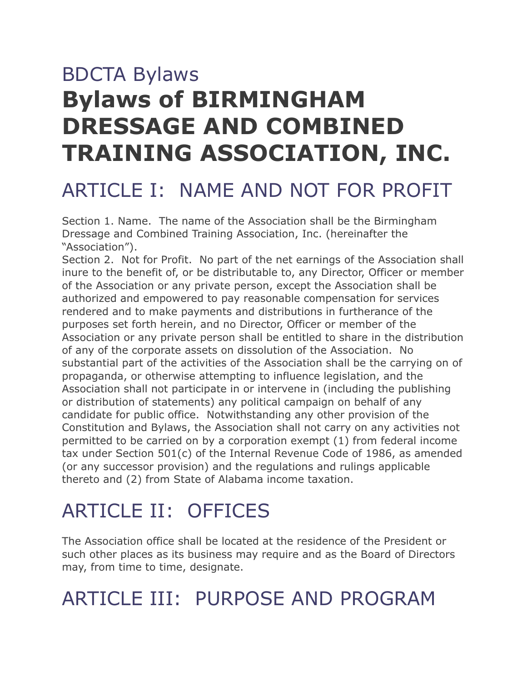# BDCTA Bylaws **Bylaws of BIRMINGHAM DRESSAGE AND COMBINED TRAINING ASSOCIATION, INC.**

### ARTICLE I: NAME AND NOT FOR PROFIT

Section 1. Name. The name of the Association shall be the Birmingham Dressage and Combined Training Association, Inc. (hereinafter the "Association").

Section 2. Not for Profit. No part of the net earnings of the Association shall inure to the benefit of, or be distributable to, any Director, Officer or member of the Association or any private person, except the Association shall be authorized and empowered to pay reasonable compensation for services rendered and to make payments and distributions in furtherance of the purposes set forth herein, and no Director, Officer or member of the Association or any private person shall be entitled to share in the distribution of any of the corporate assets on dissolution of the Association. No substantial part of the activities of the Association shall be the carrying on of propaganda, or otherwise attempting to influence legislation, and the Association shall not participate in or intervene in (including the publishing or distribution of statements) any political campaign on behalf of any candidate for public office. Notwithstanding any other provision of the Constitution and Bylaws, the Association shall not carry on any activities not permitted to be carried on by a corporation exempt (1) from federal income tax under Section 501(c) of the Internal Revenue Code of 1986, as amended (or any successor provision) and the regulations and rulings applicable thereto and (2) from State of Alabama income taxation.

## ARTICLE II: OFFICES

The Association office shall be located at the residence of the President or such other places as its business may require and as the Board of Directors may, from time to time, designate.

### ARTICLE III: PURPOSE AND PROGRAM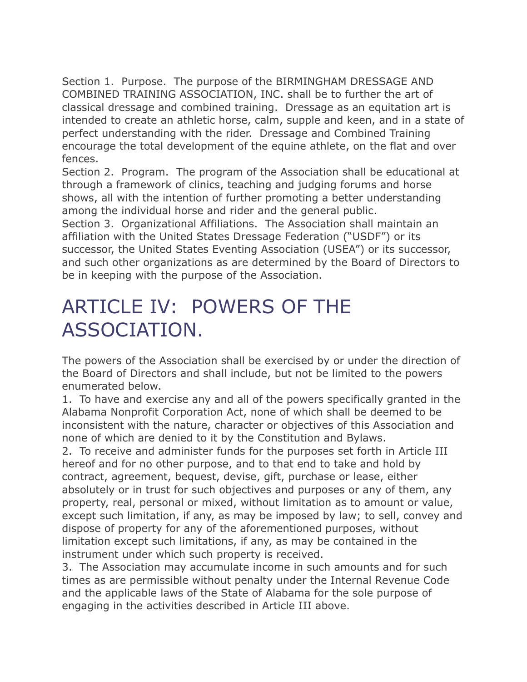Section 1. Purpose. The purpose of the BIRMINGHAM DRESSAGE AND COMBINED TRAINING ASSOCIATION, INC. shall be to further the art of classical dressage and combined training. Dressage as an equitation art is intended to create an athletic horse, calm, supple and keen, and in a state of perfect understanding with the rider. Dressage and Combined Training encourage the total development of the equine athlete, on the flat and over fences.

Section 2. Program. The program of the Association shall be educational at through a framework of clinics, teaching and judging forums and horse shows, all with the intention of further promoting a better understanding among the individual horse and rider and the general public.

Section 3. Organizational Affiliations. The Association shall maintain an affiliation with the United States Dressage Federation ("USDF") or its successor, the United States Eventing Association (USEA") or its successor, and such other organizations as are determined by the Board of Directors to be in keeping with the purpose of the Association.

### ARTICLE IV: POWERS OF THE ASSOCIATION.

The powers of the Association shall be exercised by or under the direction of the Board of Directors and shall include, but not be limited to the powers enumerated below.

1. To have and exercise any and all of the powers specifically granted in the Alabama Nonprofit Corporation Act, none of which shall be deemed to be inconsistent with the nature, character or objectives of this Association and none of which are denied to it by the Constitution and Bylaws.

2. To receive and administer funds for the purposes set forth in Article III hereof and for no other purpose, and to that end to take and hold by contract, agreement, bequest, devise, gift, purchase or lease, either absolutely or in trust for such objectives and purposes or any of them, any property, real, personal or mixed, without limitation as to amount or value, except such limitation, if any, as may be imposed by law; to sell, convey and dispose of property for any of the aforementioned purposes, without limitation except such limitations, if any, as may be contained in the instrument under which such property is received.

3. The Association may accumulate income in such amounts and for such times as are permissible without penalty under the Internal Revenue Code and the applicable laws of the State of Alabama for the sole purpose of engaging in the activities described in Article III above.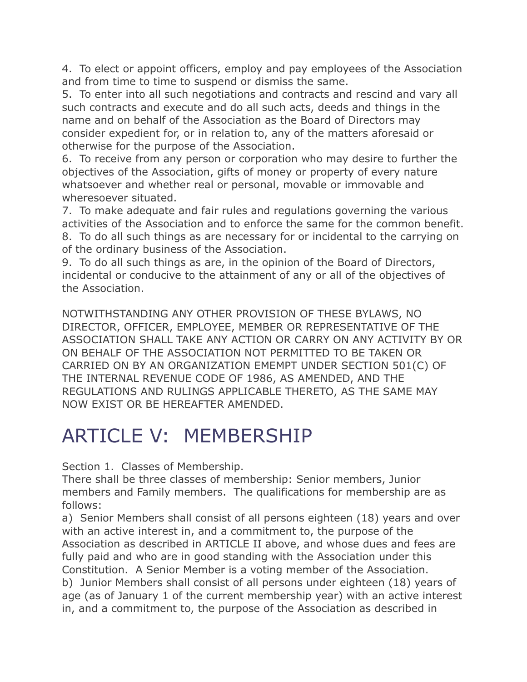4. To elect or appoint officers, employ and pay employees of the Association and from time to time to suspend or dismiss the same.

5. To enter into all such negotiations and contracts and rescind and vary all such contracts and execute and do all such acts, deeds and things in the name and on behalf of the Association as the Board of Directors may consider expedient for, or in relation to, any of the matters aforesaid or otherwise for the purpose of the Association.

6. To receive from any person or corporation who may desire to further the objectives of the Association, gifts of money or property of every nature whatsoever and whether real or personal, movable or immovable and wheresoever situated.

7. To make adequate and fair rules and regulations governing the various activities of the Association and to enforce the same for the common benefit. 8. To do all such things as are necessary for or incidental to the carrying on of the ordinary business of the Association.

9. To do all such things as are, in the opinion of the Board of Directors, incidental or conducive to the attainment of any or all of the objectives of the Association.

NOTWITHSTANDING ANY OTHER PROVISION OF THESE BYLAWS, NO DIRECTOR, OFFICER, EMPLOYEE, MEMBER OR REPRESENTATIVE OF THE ASSOCIATION SHALL TAKE ANY ACTION OR CARRY ON ANY ACTIVITY BY OR ON BEHALF OF THE ASSOCIATION NOT PERMITTED TO BE TAKEN OR CARRIED ON BY AN ORGANIZATION EMEMPT UNDER SECTION 501(C) OF THE INTERNAL REVENUE CODE OF 1986, AS AMENDED, AND THE REGULATIONS AND RULINGS APPLICABLE THERETO, AS THE SAME MAY NOW EXIST OR BE HEREAFTER AMENDED.

### ARTICLE V: MEMBERSHIP

Section 1. Classes of Membership.

There shall be three classes of membership: Senior members, Junior members and Family members. The qualifications for membership are as follows:

a) Senior Members shall consist of all persons eighteen (18) years and over with an active interest in, and a commitment to, the purpose of the Association as described in ARTICLE II above, and whose dues and fees are fully paid and who are in good standing with the Association under this Constitution. A Senior Member is a voting member of the Association. b) Junior Members shall consist of all persons under eighteen (18) years of age (as of January 1 of the current membership year) with an active interest in, and a commitment to, the purpose of the Association as described in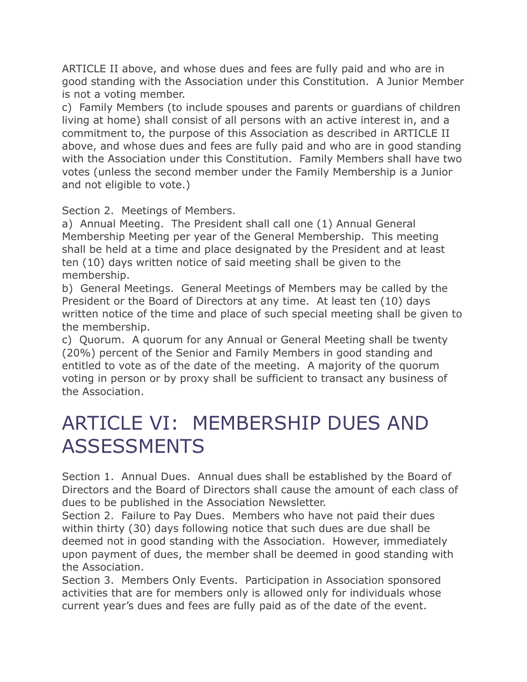ARTICLE II above, and whose dues and fees are fully paid and who are in good standing with the Association under this Constitution. A Junior Member is not a voting member.

c) Family Members (to include spouses and parents or guardians of children living at home) shall consist of all persons with an active interest in, and a commitment to, the purpose of this Association as described in ARTICLE II above, and whose dues and fees are fully paid and who are in good standing with the Association under this Constitution. Family Members shall have two votes (unless the second member under the Family Membership is a Junior and not eligible to vote.)

Section 2. Meetings of Members.

a) Annual Meeting. The President shall call one (1) Annual General Membership Meeting per year of the General Membership. This meeting shall be held at a time and place designated by the President and at least ten (10) days written notice of said meeting shall be given to the membership.

b) General Meetings. General Meetings of Members may be called by the President or the Board of Directors at any time. At least ten (10) days written notice of the time and place of such special meeting shall be given to the membership.

c) Quorum. A quorum for any Annual or General Meeting shall be twenty (20%) percent of the Senior and Family Members in good standing and entitled to vote as of the date of the meeting. A majority of the quorum voting in person or by proxy shall be sufficient to transact any business of the Association.

### ARTICLE VI: MEMBERSHIP DUES AND **ASSESSMENTS**

Section 1. Annual Dues. Annual dues shall be established by the Board of Directors and the Board of Directors shall cause the amount of each class of dues to be published in the Association Newsletter.

Section 2. Failure to Pay Dues. Members who have not paid their dues within thirty (30) days following notice that such dues are due shall be deemed not in good standing with the Association. However, immediately upon payment of dues, the member shall be deemed in good standing with the Association.

Section 3. Members Only Events. Participation in Association sponsored activities that are for members only is allowed only for individuals whose current year's dues and fees are fully paid as of the date of the event.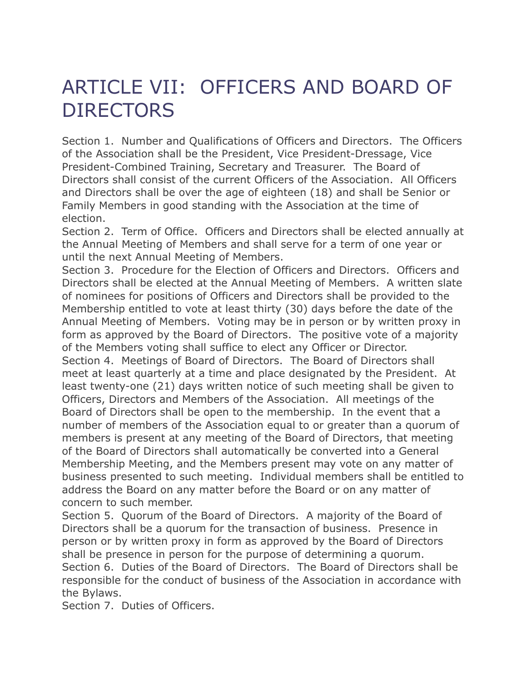### ARTICLE VII: OFFICERS AND BOARD OF **DIRECTORS**

Section 1. Number and Qualifications of Officers and Directors. The Officers of the Association shall be the President, Vice President-Dressage, Vice President-Combined Training, Secretary and Treasurer. The Board of Directors shall consist of the current Officers of the Association. All Officers and Directors shall be over the age of eighteen (18) and shall be Senior or Family Members in good standing with the Association at the time of election.

Section 2. Term of Office. Officers and Directors shall be elected annually at the Annual Meeting of Members and shall serve for a term of one year or until the next Annual Meeting of Members.

Section 3. Procedure for the Election of Officers and Directors. Officers and Directors shall be elected at the Annual Meeting of Members. A written slate of nominees for positions of Officers and Directors shall be provided to the Membership entitled to vote at least thirty (30) days before the date of the Annual Meeting of Members. Voting may be in person or by written proxy in form as approved by the Board of Directors. The positive vote of a majority of the Members voting shall suffice to elect any Officer or Director. Section 4. Meetings of Board of Directors. The Board of Directors shall meet at least quarterly at a time and place designated by the President. At least twenty-one (21) days written notice of such meeting shall be given to Officers, Directors and Members of the Association. All meetings of the Board of Directors shall be open to the membership. In the event that a number of members of the Association equal to or greater than a quorum of members is present at any meeting of the Board of Directors, that meeting of the Board of Directors shall automatically be converted into a General Membership Meeting, and the Members present may vote on any matter of business presented to such meeting. Individual members shall be entitled to address the Board on any matter before the Board or on any matter of concern to such member.

Section 5. Quorum of the Board of Directors. A majority of the Board of Directors shall be a quorum for the transaction of business. Presence in person or by written proxy in form as approved by the Board of Directors shall be presence in person for the purpose of determining a quorum. Section 6. Duties of the Board of Directors. The Board of Directors shall be responsible for the conduct of business of the Association in accordance with the Bylaws.

Section 7. Duties of Officers.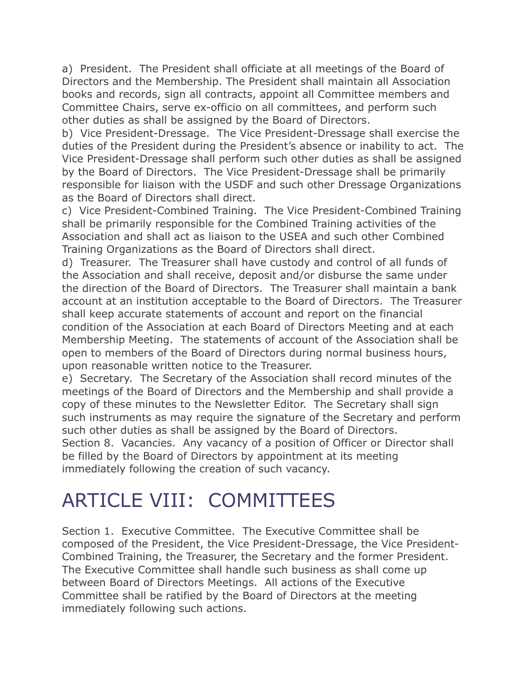a) President. The President shall officiate at all meetings of the Board of Directors and the Membership. The President shall maintain all Association books and records, sign all contracts, appoint all Committee members and Committee Chairs, serve ex-officio on all committees, and perform such other duties as shall be assigned by the Board of Directors.

b) Vice President-Dressage. The Vice President-Dressage shall exercise the duties of the President during the President's absence or inability to act. The Vice President-Dressage shall perform such other duties as shall be assigned by the Board of Directors. The Vice President-Dressage shall be primarily responsible for liaison with the USDF and such other Dressage Organizations as the Board of Directors shall direct.

c) Vice President-Combined Training. The Vice President-Combined Training shall be primarily responsible for the Combined Training activities of the Association and shall act as liaison to the USEA and such other Combined Training Organizations as the Board of Directors shall direct.

d) Treasurer. The Treasurer shall have custody and control of all funds of the Association and shall receive, deposit and/or disburse the same under the direction of the Board of Directors. The Treasurer shall maintain a bank account at an institution acceptable to the Board of Directors. The Treasurer shall keep accurate statements of account and report on the financial condition of the Association at each Board of Directors Meeting and at each Membership Meeting. The statements of account of the Association shall be open to members of the Board of Directors during normal business hours, upon reasonable written notice to the Treasurer.

e) Secretary. The Secretary of the Association shall record minutes of the meetings of the Board of Directors and the Membership and shall provide a copy of these minutes to the Newsletter Editor. The Secretary shall sign such instruments as may require the signature of the Secretary and perform such other duties as shall be assigned by the Board of Directors. Section 8. Vacancies. Any vacancy of a position of Officer or Director shall be filled by the Board of Directors by appointment at its meeting immediately following the creation of such vacancy.

### ARTICLE VIII: COMMITTEES

Section 1. Executive Committee. The Executive Committee shall be composed of the President, the Vice President-Dressage, the Vice President-Combined Training, the Treasurer, the Secretary and the former President. The Executive Committee shall handle such business as shall come up between Board of Directors Meetings. All actions of the Executive Committee shall be ratified by the Board of Directors at the meeting immediately following such actions.